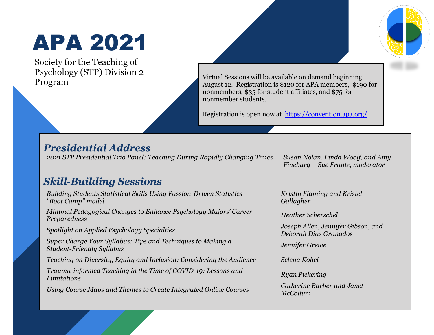# APA 2021

Society for the Teaching of Psychology (STP) Division 2

Program and Deginning Music of the United Sessions will be available on demand beginning<br>Program and August 12. Registration is \$120 for APA members, \$190 for nonmembers, \$35 for student affiliates, and \$75 for nonmember students.

Registration is open now at <https://convention.apa.org/>

#### *Presidential Address*

*2021 STP Presidential Trio Panel: Teaching During Rapidly Changing Times Susan Nolan, Linda Woolf, and Amy* 

*Fineburg – Sue Frantz, moderator*

#### *Skill-Building Sessions*

*Building Students Statistical Skills Using Passion-Driven Statistics "Boot Camp" model* 

*Minimal Pedagogical Changes to Enhance Psychology Majors' Career Preparedness Heather Scherschel*

*Super Charge Your Syllabus: Tips and Techniques to Making a Student-Friendly Syllabus Jennifer Grewe*

*Teaching on Diversity, Equity and Inclusion: Considering the Audience Selena Kohel* 

*Trauma-informed Teaching in the Time of COVID-19: Lessons and Limitations Ryan Pickering*

*Using Course Maps and Themes to Create Integrated Online Courses Catherine Barber and Janet* 

*Kristin Flaming and Kristel Gallagher*

*Spotlight on Applied Psychology Specialties Joseph Allen, Jennifer Gibson, and Deborah Diaz Granados*

*McCollum*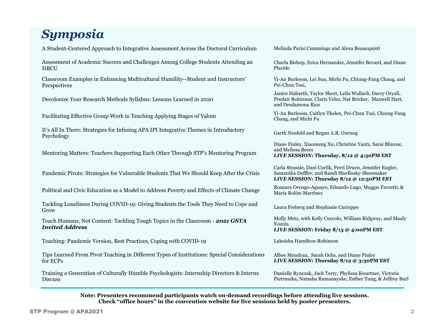### *Symposia*

A Student-Centered Approach to Integrative Assessment Across the Doctoral Curriculum Melinda Parisi Cummings and Alexa Bonacquisti

Assessment of Academic Success and Challenges Among College Students Attending an **HBCU** 

Classroom Examples in Enhancing Multicultural Humility--Student and Instructors' **Perspectives** 

Decolonize Your Research Methods Syllabus: Lessons Learned in 2020

It's All In There: Strategies for Infusing APA IPI Integrative Themes in Introductory It's All III There. Strategies for Hitusing APA IPT Hitegrative Themes in Hitroductory Garth Neufeld and Regan A.R. Gurung<br>Psychology

Mentoring Matters: Teachers Supporting Each Other Through STP's Mentoring Program

Pandemic Pivots: Strategies for Vulnerable Students That We Should Keep After the Crisis

Political and Civic Education as a Model to Address Poverty and Effects of Climate Change Rosaura Orengo-Aguayo, Eduardo Lugo, Maggie Favretti, &

Tackling Loneliness During COVID-19: Giving Students the Tools They Need to Cope and Tacking Lonenness During COVID-19. Giving Students the Tools They Need to Cope and<br>Grow Laura Freberg and Stephanie Cacioppo

Teach Humans, Not Content: Tackling Tough Topics in the Classroom - *2021 GSTA Invited Address*

Teaching: Pandemic Version, Best Practices, Coping with COVID-19 Lakeisha Hamilton-Robinson

Tips Learned From Pivot Teaching in Different Types of Institutions: Special Considerations for ECPs

Training a Generation of Culturally Humble Psychologists: Internship Directors & Interns Discuss

Charla Bishop, Erica Hernandez, Jennifer Bevard, and Diane Placide

Yi-An Burleson, Lei Sun, Michi Fu, Chiung-Fang Chang, and Pei-Chun Tsai,

Janice Habarth, Taylor Short, Leila Wallach, Darcy Oryall, Predair Robinson, Claris Velez, Nat Bricker, Maxwell Hart, and Desdamona Rios

Facilitating Effective Group Work in Teaching Applying Stages of Yalom Yi-An Burleson, Caitlyn Thelen, Pei-Chun Tsai, Chiung-Fang Chang, and Michi Fu

Diane Finley, Xiaomeng Xu, Christine Yantz, Sarai Blincoe, and Melissa Beers *LIVE SESSION***: Thursday, 8/12 @ 4:30PM EST**

Carla Strassle, Dani Curlik, Perri Druen, Jennifer Engler, Samantha Deffler, and Randi Shedlosky-Shoemaker *LIVE SESSION***: Thursday 8/12 @ 12:30PM EST**

María Rolón-Martínez

Molly Metz, with Kelly Cuccolo, William Ridgway, and Maaly Younis *LIVE SESSION***: Friday 8/13 @ 4:00PM EST**

Albee Mendoza, Sarah Ochs, and Diane Finley *LIVE SESSION***: Thursday 8/12 @ 3:30PM EST**

Danielle Rynczak, Jack Terry, Phylissa Kwartner, Victoria Pietruszka, Natasha Ramanayake, Esther Tung, & Jeffrey Burl

**Note: Presenters recommend participants watch on-demand recordings before attending live sessions. Check "office hours" in the convention website for live sessions held by poster presenters.**